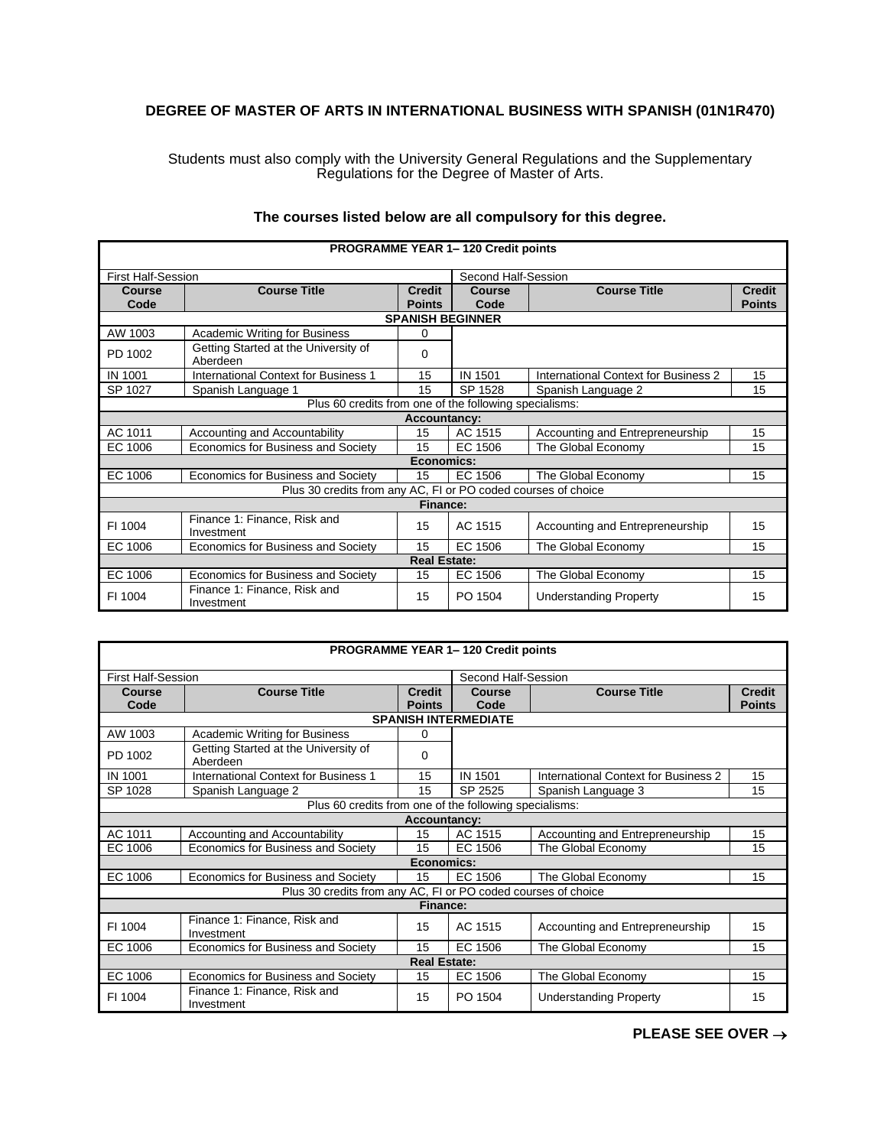## **DEGREE OF MASTER OF ARTS IN INTERNATIONAL BUSINESS WITH SPANISH (01N1R470)**

Students must also comply with the University General Regulations and the Supplementary Regulations for the Degree of Master of Arts.

| <b>PROGRAMME YEAR 1-120 Credit points</b> |                                                               |                     |                         |                                      |               |  |
|-------------------------------------------|---------------------------------------------------------------|---------------------|-------------------------|--------------------------------------|---------------|--|
| <b>First Half-Session</b>                 |                                                               |                     | Second Half-Session     |                                      |               |  |
| Course                                    | <b>Course Title</b>                                           | <b>Credit</b>       | Course                  | <b>Course Title</b>                  | <b>Credit</b> |  |
| Code                                      |                                                               | <b>Points</b>       | Code                    |                                      | <b>Points</b> |  |
|                                           |                                                               |                     | <b>SPANISH BEGINNER</b> |                                      |               |  |
| AW 1003                                   | <b>Academic Writing for Business</b>                          | $\Omega$            |                         |                                      |               |  |
| PD 1002                                   | Getting Started at the University of<br>Aberdeen              | $\Omega$            |                         |                                      |               |  |
| <b>IN 1001</b>                            | <b>International Context for Business 1</b>                   | 15                  | IN 1501                 | International Context for Business 2 | 15            |  |
| SP 1027                                   | Spanish Language 1                                            | 15                  | SP 1528                 | Spanish Language 2                   | 15            |  |
|                                           | Plus 60 credits from one of the following specialisms:        |                     |                         |                                      |               |  |
|                                           |                                                               | <b>Accountancy:</b> |                         |                                      |               |  |
| AC 1011                                   | Accounting and Accountability                                 | 15                  | AC 1515                 | Accounting and Entrepreneurship      | 15            |  |
| EC 1006                                   | Economics for Business and Society                            | 15                  | EC 1506                 | The Global Economy                   | 15            |  |
|                                           |                                                               | Economics:          |                         |                                      |               |  |
| EC 1006                                   | Economics for Business and Society                            | 15                  | EC 1506                 | The Global Economy                   | 15            |  |
|                                           | Plus 30 credits from any AC, FI or PO coded courses of choice |                     |                         |                                      |               |  |
|                                           |                                                               | Finance:            |                         |                                      |               |  |
| FI 1004                                   | Finance 1: Finance, Risk and<br>Investment                    | 15                  | AC 1515                 | Accounting and Entrepreneurship      | 15            |  |
| EC 1006                                   | Economics for Business and Society                            | 15                  | EC 1506                 | The Global Economy                   | 15            |  |
|                                           |                                                               | <b>Real Estate:</b> |                         |                                      |               |  |
| EC 1006                                   | Economics for Business and Society                            | 15                  | EC 1506                 | The Global Economy                   | 15            |  |
| FI 1004                                   | Finance 1: Finance, Risk and<br>Investment                    | 15                  | PO 1504                 | <b>Understanding Property</b>        | 15            |  |

## **The courses listed below are all compulsory for this degree.**

| PROGRAMME YEAR 1-120 Credit points |                                                               |                                |                             |                                      |                                |  |  |
|------------------------------------|---------------------------------------------------------------|--------------------------------|-----------------------------|--------------------------------------|--------------------------------|--|--|
| <b>First Half-Session</b>          |                                                               |                                | Second Half-Session         |                                      |                                |  |  |
| Course<br>Code                     | <b>Course Title</b>                                           | <b>Credit</b><br><b>Points</b> | Course<br>Code              | <b>Course Title</b>                  | <b>Credit</b><br><b>Points</b> |  |  |
|                                    |                                                               |                                | <b>SPANISH INTERMEDIATE</b> |                                      |                                |  |  |
| AW 1003                            | <b>Academic Writing for Business</b>                          | 0                              |                             |                                      |                                |  |  |
| PD 1002                            | Getting Started at the University of<br>Aberdeen              | 0                              |                             |                                      |                                |  |  |
| <b>IN 1001</b>                     | International Context for Business 1                          | 15                             | IN 1501                     | International Context for Business 2 | 15                             |  |  |
| SP 1028                            | Spanish Language 2                                            | 15                             | SP 2525                     | Spanish Language 3                   | 15                             |  |  |
|                                    | Plus 60 credits from one of the following specialisms:        |                                |                             |                                      |                                |  |  |
|                                    |                                                               | <b>Accountancy:</b>            |                             |                                      |                                |  |  |
| AC 1011                            | Accounting and Accountability                                 | 15                             | AC 1515                     | Accounting and Entrepreneurship      | 15                             |  |  |
| EC 1006                            | Economics for Business and Society                            | 15                             | EC 1506                     | The Global Economy                   | 15                             |  |  |
|                                    |                                                               | Economics:                     |                             |                                      |                                |  |  |
| EC 1006                            | Economics for Business and Society                            | 15                             | EC 1506                     | The Global Economy                   | 15                             |  |  |
|                                    | Plus 30 credits from any AC, FI or PO coded courses of choice |                                |                             |                                      |                                |  |  |
|                                    |                                                               | <b>Finance:</b>                |                             |                                      |                                |  |  |
| FI 1004                            | Finance 1: Finance, Risk and<br>Investment                    | 15                             | AC 1515                     | Accounting and Entrepreneurship      | 15                             |  |  |
| EC 1006                            | Economics for Business and Society                            | 15                             | EC 1506                     | The Global Economy                   | 15                             |  |  |
|                                    |                                                               | <b>Real Estate:</b>            |                             |                                      |                                |  |  |
| EC 1006                            | Economics for Business and Society                            | 15                             | EC 1506                     | The Global Economy                   | 15                             |  |  |
| FI 1004                            | Finance 1: Finance, Risk and<br>Investment                    | 15                             | PO 1504                     | <b>Understanding Property</b>        | 15                             |  |  |

**PLEASE SEE OVER** →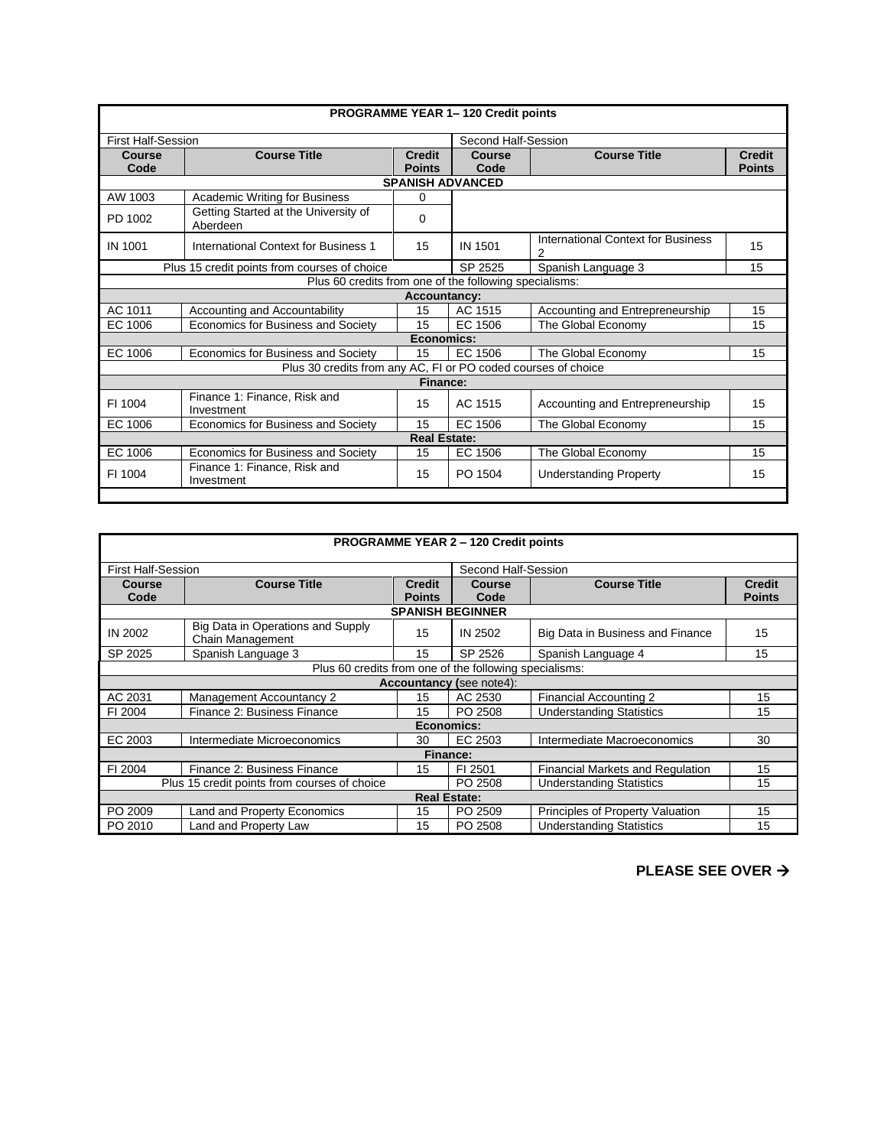| <b>PROGRAMME YEAR 1-120 Credit points</b> |                                                               |                                |                       |                                         |                                |  |  |
|-------------------------------------------|---------------------------------------------------------------|--------------------------------|-----------------------|-----------------------------------------|--------------------------------|--|--|
| <b>First Half-Session</b>                 |                                                               |                                | Second Half-Session   |                                         |                                |  |  |
| Course<br>Code                            | <b>Course Title</b>                                           | <b>Credit</b><br><b>Points</b> | <b>Course</b><br>Code | <b>Course Title</b>                     | <b>Credit</b><br><b>Points</b> |  |  |
|                                           | <b>SPANISH ADVANCED</b>                                       |                                |                       |                                         |                                |  |  |
| AW 1003                                   | <b>Academic Writing for Business</b>                          | 0                              |                       |                                         |                                |  |  |
| PD 1002                                   | Getting Started at the University of<br>Aberdeen              | 0                              |                       |                                         |                                |  |  |
| IN 1001                                   | International Context for Business 1                          | 15                             | <b>IN 1501</b>        | International Context for Business<br>2 | 15                             |  |  |
|                                           | Plus 15 credit points from courses of choice                  |                                | SP 2525               | Spanish Language 3                      | 15                             |  |  |
|                                           | Plus 60 credits from one of the following specialisms:        |                                |                       |                                         |                                |  |  |
|                                           |                                                               | <b>Accountancy:</b>            |                       |                                         |                                |  |  |
| AC 1011                                   | Accounting and Accountability                                 | 15                             | AC 1515               | Accounting and Entrepreneurship         | 15                             |  |  |
| EC 1006                                   | Economics for Business and Society                            | 15                             | EC 1506               | The Global Economy                      | 15                             |  |  |
|                                           |                                                               | Economics:                     |                       |                                         |                                |  |  |
| EC 1006                                   | Economics for Business and Society                            | 15                             | EC 1506               | The Global Economy                      | 15                             |  |  |
|                                           | Plus 30 credits from any AC, FI or PO coded courses of choice |                                |                       |                                         |                                |  |  |
|                                           |                                                               | <b>Finance:</b>                |                       |                                         |                                |  |  |
| FI 1004                                   | Finance 1: Finance, Risk and<br>Investment                    | 15                             | AC 1515               | Accounting and Entrepreneurship         | 15                             |  |  |
| EC 1006                                   | Economics for Business and Society                            | 15                             | EC 1506               | The Global Economy                      | 15                             |  |  |
|                                           | <b>Real Estate:</b>                                           |                                |                       |                                         |                                |  |  |
| EC 1006                                   | Economics for Business and Society                            | 15                             | EC 1506               | The Global Economy                      | 15                             |  |  |
| FI 1004                                   | Finance 1: Finance, Risk and<br>Investment                    | 15                             | PO 1504               | <b>Understanding Property</b>           | 15                             |  |  |
|                                           |                                                               |                                |                       |                                         |                                |  |  |

| <b>PROGRAMME YEAR 2 - 120 Credit points</b> |                                                        |                     |                                 |                                  |               |
|---------------------------------------------|--------------------------------------------------------|---------------------|---------------------------------|----------------------------------|---------------|
| <b>First Half-Session</b>                   |                                                        |                     | Second Half-Session             |                                  |               |
| <b>Course</b>                               | <b>Course Title</b>                                    | <b>Credit</b>       | <b>Course</b>                   | <b>Course Title</b>              | <b>Credit</b> |
| Code                                        |                                                        | <b>Points</b>       | Code                            |                                  | <b>Points</b> |
|                                             |                                                        |                     | <b>SPANISH BEGINNER</b>         |                                  |               |
| IN 2002                                     | Big Data in Operations and Supply<br>Chain Management  | 15                  | IN 2502                         | Big Data in Business and Finance | 15            |
| SP 2025                                     | Spanish Language 3                                     | 15                  | SP 2526                         | Spanish Language 4               | 15            |
|                                             | Plus 60 credits from one of the following specialisms: |                     |                                 |                                  |               |
|                                             |                                                        |                     | <b>Accountancy (see note4):</b> |                                  |               |
| AC 2031                                     | <b>Management Accountancy 2</b>                        | 15                  | AC 2530                         | Financial Accounting 2           | 15            |
| FI 2004                                     | Finance 2: Business Finance                            | 15                  | PO 2508                         | <b>Understanding Statistics</b>  | 15            |
|                                             |                                                        | Economics:          |                                 |                                  |               |
| EC 2003                                     | Intermediate Microeconomics                            | 30                  | EC 2503                         | Intermediate Macroeconomics      | 30            |
|                                             |                                                        | Finance:            |                                 |                                  |               |
| FI 2004                                     | Finance 2: Business Finance                            | 15                  | FI 2501                         | Financial Markets and Regulation | 15            |
|                                             | Plus 15 credit points from courses of choice           |                     |                                 | <b>Understanding Statistics</b>  | 15            |
|                                             |                                                        | <b>Real Estate:</b> |                                 |                                  |               |
| PO 2009                                     | Land and Property Economics                            | 15                  | PO 2509                         | Principles of Property Valuation | 15            |
| PO 2010                                     | Land and Property Law                                  | 15                  | PO 2508                         | <b>Understanding Statistics</b>  | 15            |

## **PLEASE SEE OVER** →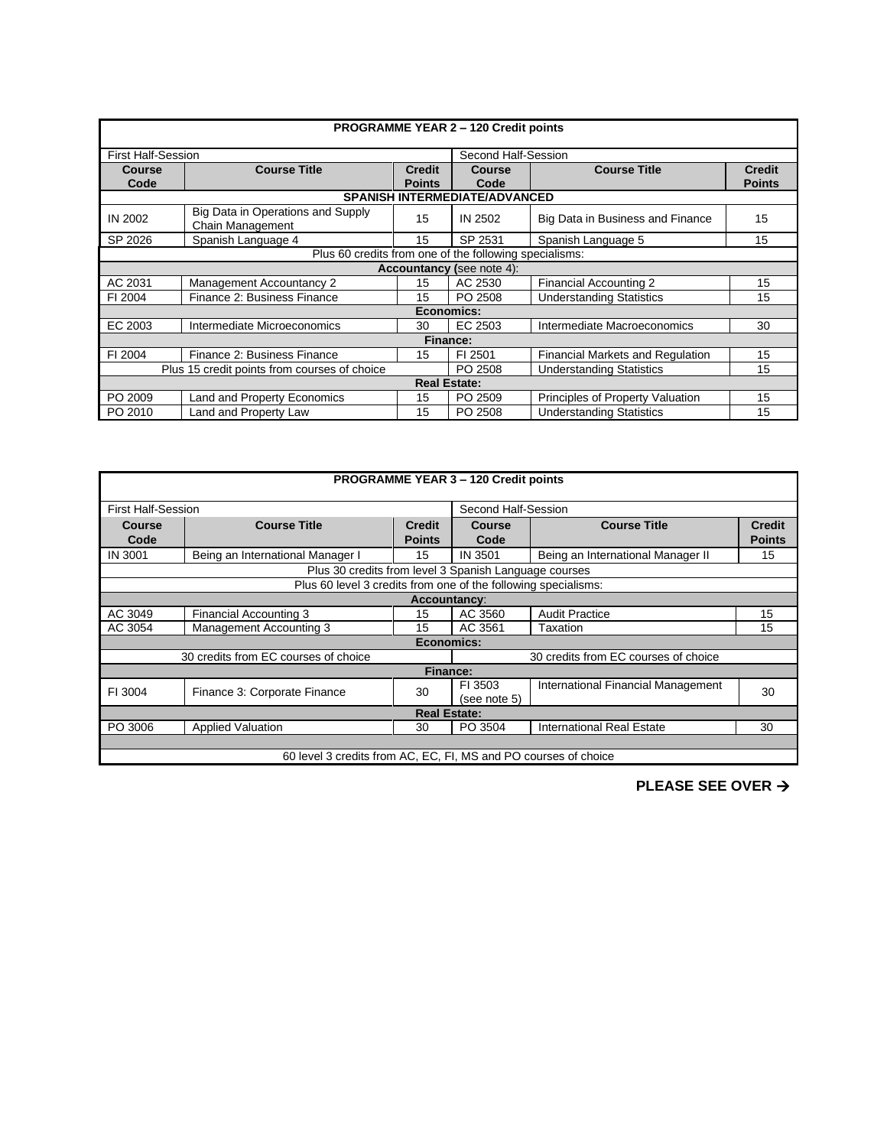| <b>PROGRAMME YEAR 2 - 120 Credit points</b> |                                                                                            |                                |                                      |                                         |                                |  |
|---------------------------------------------|--------------------------------------------------------------------------------------------|--------------------------------|--------------------------------------|-----------------------------------------|--------------------------------|--|
|                                             |                                                                                            |                                |                                      |                                         |                                |  |
| <b>First Half-Session</b>                   |                                                                                            |                                | Second Half-Session                  |                                         |                                |  |
| <b>Course</b><br>Code                       | <b>Course Title</b>                                                                        | <b>Credit</b><br><b>Points</b> | Course<br>Code                       | <b>Course Title</b>                     | <b>Credit</b><br><b>Points</b> |  |
|                                             |                                                                                            |                                | <b>SPANISH INTERMEDIATE/ADVANCED</b> |                                         |                                |  |
| <b>IN 2002</b>                              | Big Data in Operations and Supply<br>Chain Management                                      | 15                             | IN 2502                              | Big Data in Business and Finance        | 15                             |  |
| SP 2026                                     | Spanish Language 4                                                                         | 15                             | SP 2531                              | Spanish Language 5                      | 15                             |  |
|                                             | Plus 60 credits from one of the following specialisms:                                     |                                |                                      |                                         |                                |  |
| <b>Accountancy (see note 4):</b>            |                                                                                            |                                |                                      |                                         |                                |  |
| AC 2031                                     | <b>Management Accountancy 2</b>                                                            | 15                             | AC 2530                              | <b>Financial Accounting 2</b>           | 15                             |  |
| FI 2004                                     | Finance 2: Business Finance                                                                | 15                             | PO 2508                              | <b>Understanding Statistics</b>         | 15                             |  |
|                                             | Economics:                                                                                 |                                |                                      |                                         |                                |  |
| EC 2003                                     | Intermediate Microeconomics                                                                | 30                             | EC 2503                              | Intermediate Macroeconomics             | 30                             |  |
|                                             | Finance:                                                                                   |                                |                                      |                                         |                                |  |
| FI 2004                                     | Finance 2: Business Finance                                                                | 15                             | FI 2501                              | <b>Financial Markets and Regulation</b> | 15                             |  |
|                                             | PO 2508<br><b>Understanding Statistics</b><br>Plus 15 credit points from courses of choice |                                |                                      |                                         | 15                             |  |
|                                             |                                                                                            | <b>Real Estate:</b>            |                                      |                                         |                                |  |
| PO 2009                                     | Land and Property Economics                                                                | 15                             | PO 2509                              | Principles of Property Valuation        | 15                             |  |
| PO 2010                                     | Land and Property Law                                                                      | 15                             | PO 2508                              | <b>Understanding Statistics</b>         | 15                             |  |

| <b>PROGRAMME YEAR 3 - 120 Credit points</b>                     |                                                                              |                                |                         |                                    |                                |  |  |
|-----------------------------------------------------------------|------------------------------------------------------------------------------|--------------------------------|-------------------------|------------------------------------|--------------------------------|--|--|
|                                                                 | Second Half-Session<br><b>First Half-Session</b>                             |                                |                         |                                    |                                |  |  |
| Course<br>Code                                                  | <b>Course Title</b>                                                          | <b>Credit</b><br><b>Points</b> | <b>Course</b><br>Code   | <b>Course Title</b>                | <b>Credit</b><br><b>Points</b> |  |  |
| <b>IN 3001</b>                                                  | Being an International Manager I                                             | 15                             | IN 3501                 | Being an International Manager II  | 15                             |  |  |
|                                                                 | Plus 30 credits from level 3 Spanish Language courses                        |                                |                         |                                    |                                |  |  |
|                                                                 | Plus 60 level 3 credits from one of the following specialisms:               |                                |                         |                                    |                                |  |  |
|                                                                 |                                                                              | Accountancy:                   |                         |                                    |                                |  |  |
| AC 3049                                                         | Financial Accounting 3                                                       | 15                             | AC 3560                 | <b>Audit Practice</b>              | 15                             |  |  |
| AC 3054                                                         | Management Accounting 3                                                      | 15                             | AC 3561                 | Taxation                           | 15                             |  |  |
|                                                                 | Economics:                                                                   |                                |                         |                                    |                                |  |  |
|                                                                 | 30 credits from EC courses of choice<br>30 credits from EC courses of choice |                                |                         |                                    |                                |  |  |
|                                                                 |                                                                              | <b>Finance:</b>                |                         |                                    |                                |  |  |
| FI 3004                                                         | Finance 3: Corporate Finance                                                 | 30                             | FI 3503<br>(see note 5) | International Financial Management | 30                             |  |  |
| <b>Real Estate:</b>                                             |                                                                              |                                |                         |                                    |                                |  |  |
| PO 3006                                                         | <b>Applied Valuation</b>                                                     | 30                             | PO 3504                 | <b>International Real Estate</b>   | 30                             |  |  |
|                                                                 |                                                                              |                                |                         |                                    |                                |  |  |
| 60 level 3 credits from AC, EC, FI, MS and PO courses of choice |                                                                              |                                |                         |                                    |                                |  |  |

**PLEASE SEE OVER** →